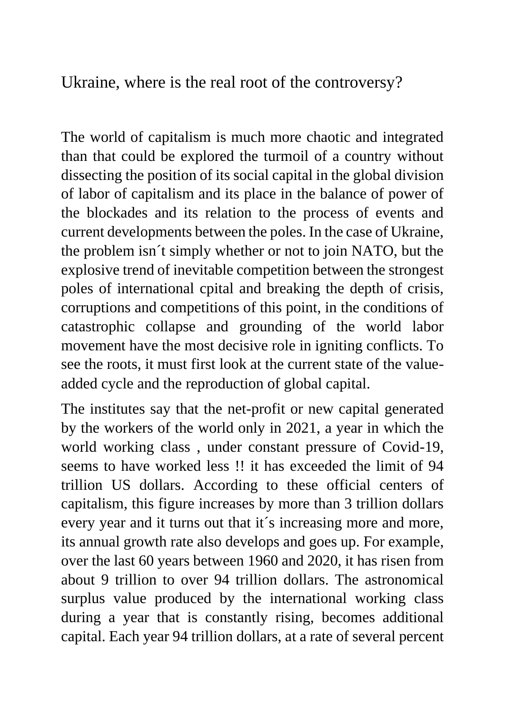Ukraine, where is the real root of the controversy?

The world of capitalism is much more chaotic and integrated than that could be explored the turmoil of a country without dissecting the position of its social capital in the global division of labor of capitalism and its place in the balance of power of the blockades and its relation to the process of events and current developments between the poles. In the case of Ukraine, the problem isn´t simply whether or not to join NATO, but the explosive trend of inevitable competition between the strongest poles of international cpital and breaking the depth of crisis, corruptions and competitions of this point, in the conditions of catastrophic collapse and grounding of the world labor movement have the most decisive role in igniting conflicts. To see the roots, it must first look at the current state of the valueadded cycle and the reproduction of global capital.

The institutes say that the net-profit or new capital generated by the workers of the world only in 2021, a year in which the world working class , under constant pressure of Covid-19, seems to have worked less !! it has exceeded the limit of 94 trillion US dollars. According to these official centers of capitalism, this figure increases by more than 3 trillion dollars every year and it turns out that it´s increasing more and more, its annual growth rate also develops and goes up. For example, over the last 60 years between 1960 and 2020, it has risen from about 9 trillion to over 94 trillion dollars. The astronomical surplus value produced by the international working class during a year that is constantly rising, becomes additional capital. Each year 94 trillion dollars, at a rate of several percent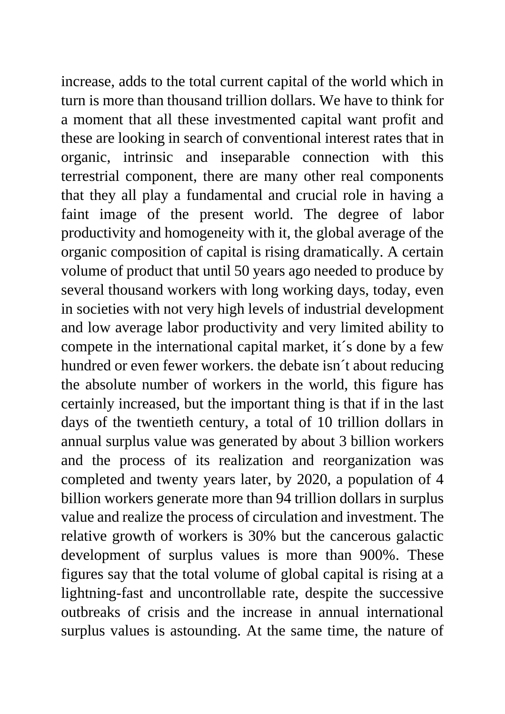increase, adds to the total current capital of the world which in turn is more than thousand trillion dollars. We have to think for a moment that all these investmented capital want profit and these are looking in search of conventional interest rates that in organic, intrinsic and inseparable connection with this terrestrial component, there are many other real components that they all play a fundamental and crucial role in having a faint image of the present world. The degree of labor productivity and homogeneity with it, the global average of the organic composition of capital is rising dramatically. A certain volume of product that until 50 years ago needed to produce by several thousand workers with long working days, today, even in societies with not very high levels of industrial development and low average labor productivity and very limited ability to compete in the international capital market, it´s done by a few hundred or even fewer workers. the debate isn´t about reducing the absolute number of workers in the world, this figure has certainly increased, but the important thing is that if in the last days of the twentieth century, a total of 10 trillion dollars in annual surplus value was generated by about 3 billion workers and the process of its realization and reorganization was completed and twenty years later, by 2020, a population of 4 billion workers generate more than 94 trillion dollars in surplus value and realize the process of circulation and investment. The relative growth of workers is 30% but the cancerous galactic development of surplus values is more than 900%. These figures say that the total volume of global capital is rising at a lightning-fast and uncontrollable rate, despite the successive outbreaks of crisis and the increase in annual international surplus values is astounding. At the same time, the nature of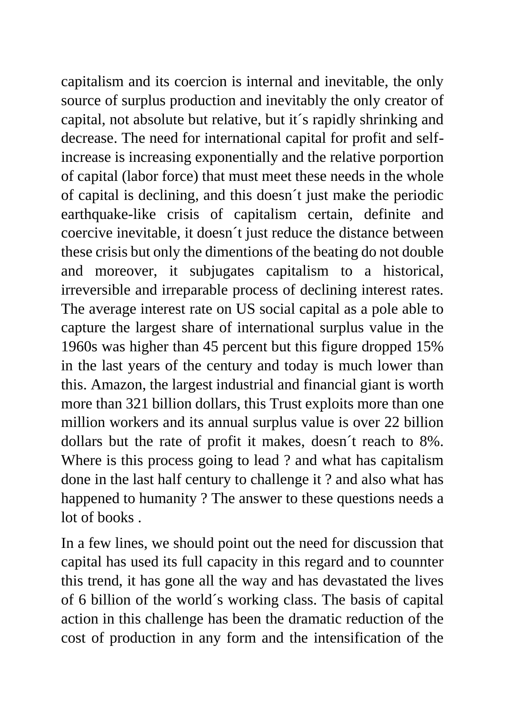capitalism and its coercion is internal and inevitable, the only source of surplus production and inevitably the only creator of capital, not absolute but relative, but it´s rapidly shrinking and decrease. The need for international capital for profit and selfincrease is increasing exponentially and the relative porportion of capital (labor force) that must meet these needs in the whole of capital is declining, and this doesn´t just make the periodic earthquake-like crisis of capitalism certain, definite and coercive inevitable, it doesn´t just reduce the distance between these crisis but only the dimentions of the beating do not double and moreover, it subjugates capitalism to a historical, irreversible and irreparable process of declining interest rates. The average interest rate on US social capital as a pole able to capture the largest share of international surplus value in the 1960s was higher than 45 percent but this figure dropped 15% in the last years of the century and today is much lower than this. Amazon, the largest industrial and financial giant is worth more than 321 billion dollars, this Trust exploits more than one million workers and its annual surplus value is over 22 billion dollars but the rate of profit it makes, doesn´t reach to 8%. Where is this process going to lead ? and what has capitalism done in the last half century to challenge it ? and also what has happened to humanity ? The answer to these questions needs a lot of books .

In a few lines, we should point out the need for discussion that capital has used its full capacity in this regard and to counnter this trend, it has gone all the way and has devastated the lives of 6 billion of the world´s working class. The basis of capital action in this challenge has been the dramatic reduction of the cost of production in any form and the intensification of the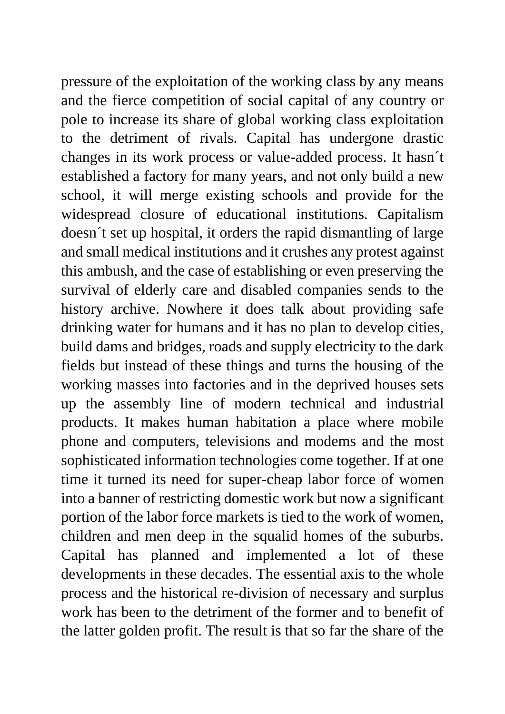pressure of the exploitation of the working class by any means and the fierce competition of social capital of any country or pole to increase its share of global working class exploitation to the detriment of rivals. Capital has undergone drastic changes in its work process or value-added process. It hasn´t established a factory for many years, and not only build a new school, it will merge existing schools and provide for the widespread closure of educational institutions. Capitalism doesn´t set up hospital, it orders the rapid dismantling of large and small medical institutions and it crushes any protest against this ambush, and the case of establishing or even preserving the survival of elderly care and disabled companies sends to the history archive. Nowhere it does talk about providing safe drinking water for humans and it has no plan to develop cities, build dams and bridges, roads and supply electricity to the dark fields but instead of these things and turns the housing of the working masses into factories and in the deprived houses sets up the assembly line of modern technical and industrial products. It makes human habitation a place where mobile phone and computers, televisions and modems and the most sophisticated information technologies come together. If at one time it turned its need for super-cheap labor force of women into a banner of restricting domestic work but now a significant portion of the labor force markets is tied to the work of women, children and men deep in the squalid homes of the suburbs. Capital has planned and implemented a lot of these developments in these decades. The essential axis to the whole process and the historical re-division of necessary and surplus work has been to the detriment of the former and to benefit of the latter golden profit. The result is that so far the share of the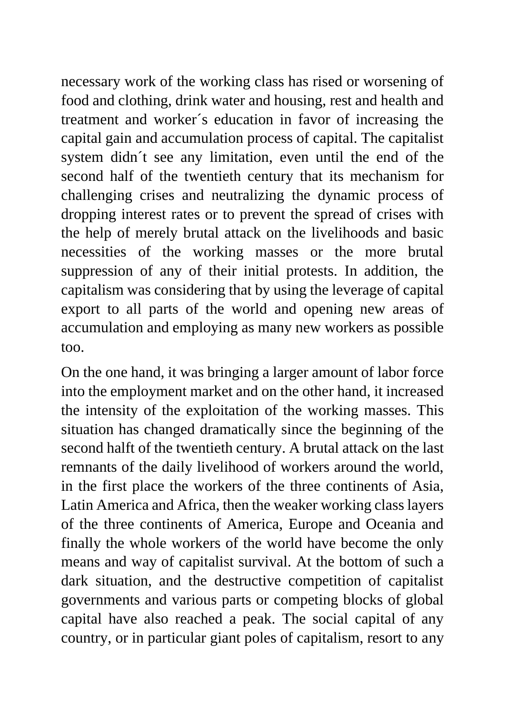necessary work of the working class has rised or worsening of food and clothing, drink water and housing, rest and health and treatment and worker´s education in favor of increasing the capital gain and accumulation process of capital. The capitalist system didn´t see any limitation, even until the end of the second half of the twentieth century that its mechanism for challenging crises and neutralizing the dynamic process of dropping interest rates or to prevent the spread of crises with the help of merely brutal attack on the livelihoods and basic necessities of the working masses or the more brutal suppression of any of their initial protests. In addition, the capitalism was considering that by using the leverage of capital export to all parts of the world and opening new areas of accumulation and employing as many new workers as possible too.

On the one hand, it was bringing a larger amount of labor force into the employment market and on the other hand, it increased the intensity of the exploitation of the working masses. This situation has changed dramatically since the beginning of the second halft of the twentieth century. A brutal attack on the last remnants of the daily livelihood of workers around the world, in the first place the workers of the three continents of Asia, Latin America and Africa, then the weaker working class layers of the three continents of America, Europe and Oceania and finally the whole workers of the world have become the only means and way of capitalist survival. At the bottom of such a dark situation, and the destructive competition of capitalist governments and various parts or competing blocks of global capital have also reached a peak. The social capital of any country, or in particular giant poles of capitalism, resort to any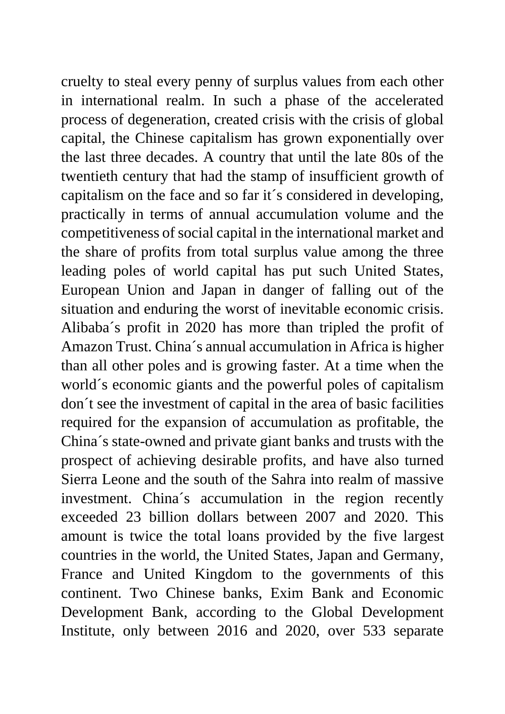cruelty to steal every penny of surplus values from each other in international realm. In such a phase of the accelerated process of degeneration, created crisis with the crisis of global capital, the Chinese capitalism has grown exponentially over the last three decades. A country that until the late 80s of the twentieth century that had the stamp of insufficient growth of capitalism on the face and so far it´s considered in developing, practically in terms of annual accumulation volume and the competitiveness of social capital in the international market and the share of profits from total surplus value among the three leading poles of world capital has put such United States, European Union and Japan in danger of falling out of the situation and enduring the worst of inevitable economic crisis. Alibaba´s profit in 2020 has more than tripled the profit of Amazon Trust. China´s annual accumulation in Africa is higher than all other poles and is growing faster. At a time when the world´s economic giants and the powerful poles of capitalism don´t see the investment of capital in the area of basic facilities required for the expansion of accumulation as profitable, the China´s state-owned and private giant banks and trusts with the prospect of achieving desirable profits, and have also turned Sierra Leone and the south of the Sahra into realm of massive investment. China´s accumulation in the region recently exceeded 23 billion dollars between 2007 and 2020. This amount is twice the total loans provided by the five largest countries in the world, the United States, Japan and Germany, France and United Kingdom to the governments of this continent. Two Chinese banks, Exim Bank and Economic Development Bank, according to the Global Development Institute, only between 2016 and 2020, over 533 separate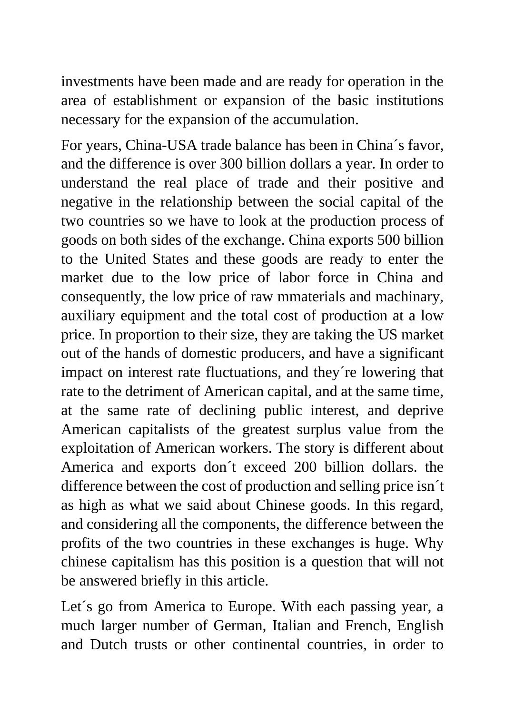investments have been made and are ready for operation in the area of establishment or expansion of the basic institutions necessary for the expansion of the accumulation.

For years, China-USA trade balance has been in China´s favor, and the difference is over 300 billion dollars a year. In order to understand the real place of trade and their positive and negative in the relationship between the social capital of the two countries so we have to look at the production process of goods on both sides of the exchange. China exports 500 billion to the United States and these goods are ready to enter the market due to the low price of labor force in China and consequently, the low price of raw mmaterials and machinary, auxiliary equipment and the total cost of production at a low price. In proportion to their size, they are taking the US market out of the hands of domestic producers, and have a significant impact on interest rate fluctuations, and they´re lowering that rate to the detriment of American capital, and at the same time, at the same rate of declining public interest, and deprive American capitalists of the greatest surplus value from the exploitation of American workers. The story is different about America and exports don´t exceed 200 billion dollars. the difference between the cost of production and selling price isn´t as high as what we said about Chinese goods. In this regard, and considering all the components, the difference between the profits of the two countries in these exchanges is huge. Why chinese capitalism has this position is a question that will not be answered briefly in this article.

Let´s go from America to Europe. With each passing year, a much larger number of German, Italian and French, English and Dutch trusts or other continental countries, in order to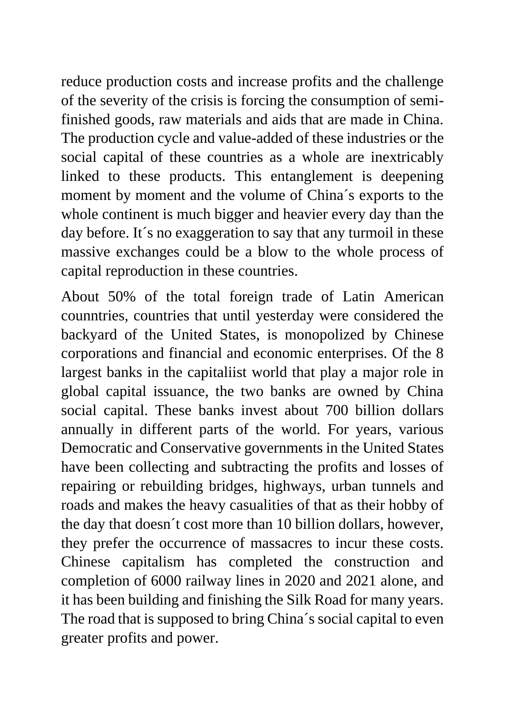reduce production costs and increase profits and the challenge of the severity of the crisis is forcing the consumption of semifinished goods, raw materials and aids that are made in China. The production cycle and value-added of these industries or the social capital of these countries as a whole are inextricably linked to these products. This entanglement is deepening moment by moment and the volume of China´s exports to the whole continent is much bigger and heavier every day than the day before. It's no exaggeration to say that any turmoil in these massive exchanges could be a blow to the whole process of capital reproduction in these countries.

About 50% of the total foreign trade of Latin American counntries, countries that until yesterday were considered the backyard of the United States, is monopolized by Chinese corporations and financial and economic enterprises. Of the 8 largest banks in the capitaliist world that play a major role in global capital issuance, the two banks are owned by China social capital. These banks invest about 700 billion dollars annually in different parts of the world. For years, various Democratic and Conservative governments in the United States have been collecting and subtracting the profits and losses of repairing or rebuilding bridges, highways, urban tunnels and roads and makes the heavy casualities of that as their hobby of the day that doesn´t cost more than 10 billion dollars, however, they prefer the occurrence of massacres to incur these costs. Chinese capitalism has completed the construction and completion of 6000 railway lines in 2020 and 2021 alone, and it has been building and finishing the Silk Road for many years. The road that is supposed to bring China´s social capital to even greater profits and power.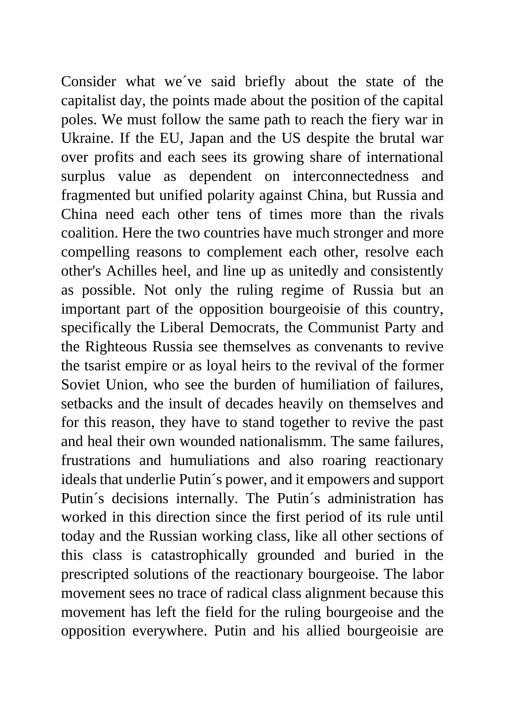Consider what we´ve said briefly about the state of the capitalist day, the points made about the position of the capital poles. We must follow the same path to reach the fiery war in Ukraine. If the EU, Japan and the US despite the brutal war over profits and each sees its growing share of international surplus value as dependent on interconnectedness and fragmented but unified polarity against China, but Russia and China need each other tens of times more than the rivals coalition. Here the two countries have much stronger and more compelling reasons to complement each other, resolve each other's Achilles heel, and line up as unitedly and consistently as possible. Not only the ruling regime of Russia but an important part of the opposition bourgeoisie of this country, specifically the Liberal Democrats, the Communist Party and the Righteous Russia see themselves as convenants to revive the tsarist empire or as loyal heirs to the revival of the former Soviet Union, who see the burden of humiliation of failures, setbacks and the insult of decades heavily on themselves and for this reason, they have to stand together to revive the past and heal their own wounded nationalismm. The same failures, frustrations and humuliations and also roaring reactionary ideals that underlie Putin´s power, and it empowers and support Putin´s decisions internally. The Putin´s administration has worked in this direction since the first period of its rule until today and the Russian working class, like all other sections of this class is catastrophically grounded and buried in the prescripted solutions of the reactionary bourgeoise. The labor movement sees no trace of radical class alignment because this movement has left the field for the ruling bourgeoise and the opposition everywhere. Putin and his allied bourgeoisie are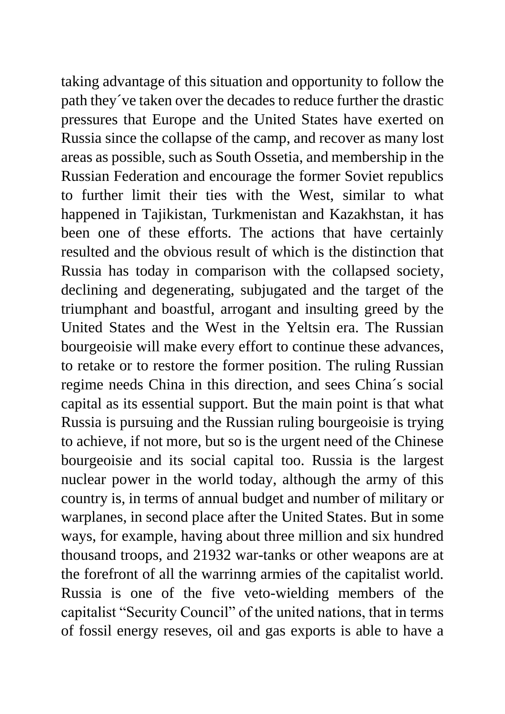taking advantage of this situation and opportunity to follow the path they´ve taken over the decades to reduce further the drastic pressures that Europe and the United States have exerted on Russia since the collapse of the camp, and recover as many lost areas as possible, such as South Ossetia, and membership in the Russian Federation and encourage the former Soviet republics to further limit their ties with the West, similar to what happened in Tajikistan, Turkmenistan and Kazakhstan, it has been one of these efforts. The actions that have certainly resulted and the obvious result of which is the distinction that Russia has today in comparison with the collapsed society, declining and degenerating, subjugated and the target of the triumphant and boastful, arrogant and insulting greed by the United States and the West in the Yeltsin era. The Russian bourgeoisie will make every effort to continue these advances, to retake or to restore the former position. The ruling Russian regime needs China in this direction, and sees China´s social capital as its essential support. But the main point is that what Russia is pursuing and the Russian ruling bourgeoisie is trying to achieve, if not more, but so is the urgent need of the Chinese bourgeoisie and its social capital too. Russia is the largest nuclear power in the world today, although the army of this country is, in terms of annual budget and number of military or warplanes, in second place after the United States. But in some ways, for example, having about three million and six hundred thousand troops, and 21932 war-tanks or other weapons are at the forefront of all the warrinng armies of the capitalist world. Russia is one of the five veto-wielding members of the capitalist "Security Council" of the united nations, that in terms of fossil energy reseves, oil and gas exports is able to have a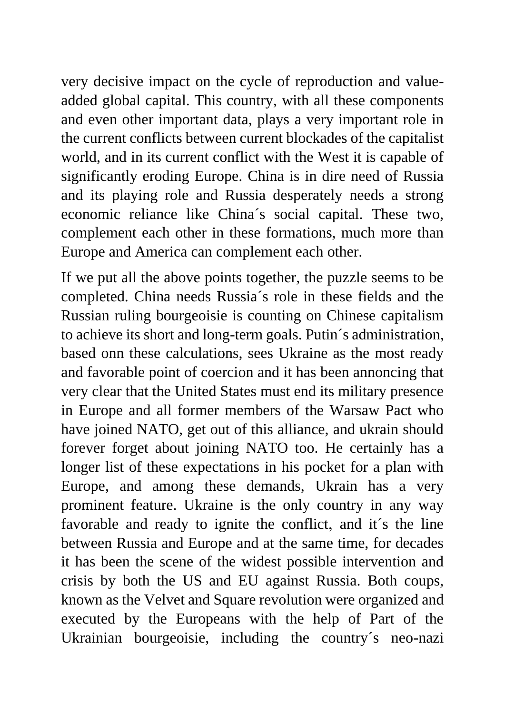very decisive impact on the cycle of reproduction and valueadded global capital. This country, with all these components and even other important data, plays a very important role in the current conflicts between current blockades of the capitalist world, and in its current conflict with the West it is capable of significantly eroding Europe. China is in dire need of Russia and its playing role and Russia desperately needs a strong economic reliance like China´s social capital. These two, complement each other in these formations, much more than Europe and America can complement each other.

If we put all the above points together, the puzzle seems to be completed. China needs Russia´s role in these fields and the Russian ruling bourgeoisie is counting on Chinese capitalism to achieve its short and long-term goals. Putin´s administration, based onn these calculations, sees Ukraine as the most ready and favorable point of coercion and it has been annoncing that very clear that the United States must end its military presence in Europe and all former members of the Warsaw Pact who have joined NATO, get out of this alliance, and ukrain should forever forget about joining NATO too. He certainly has a longer list of these expectations in his pocket for a plan with Europe, and among these demands, Ukrain has a very prominent feature. Ukraine is the only country in any way favorable and ready to ignite the conflict, and it´s the line between Russia and Europe and at the same time, for decades it has been the scene of the widest possible intervention and crisis by both the US and EU against Russia. Both coups, known as the Velvet and Square revolution were organized and executed by the Europeans with the help of Part of the Ukrainian bourgeoisie, including the country´s neo-nazi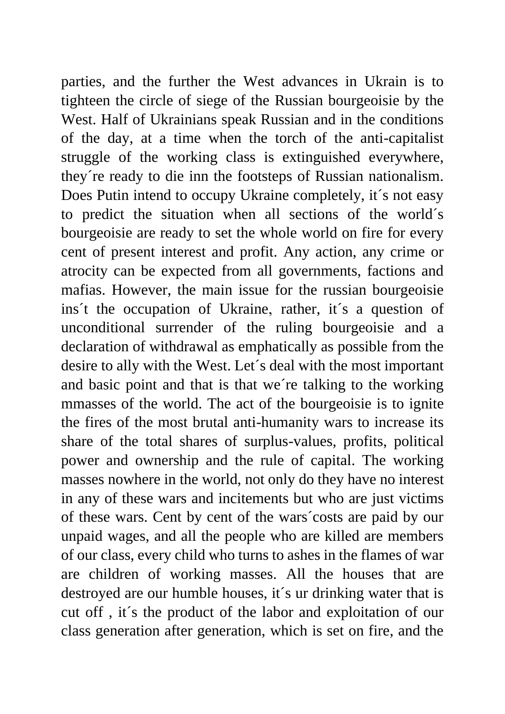parties, and the further the West advances in Ukrain is to tighteen the circle of siege of the Russian bourgeoisie by the West. Half of Ukrainians speak Russian and in the conditions of the day, at a time when the torch of the anti-capitalist struggle of the working class is extinguished everywhere, they´re ready to die inn the footsteps of Russian nationalism. Does Putin intend to occupy Ukraine completely, it´s not easy to predict the situation when all sections of the world´s bourgeoisie are ready to set the whole world on fire for every cent of present interest and profit. Any action, any crime or atrocity can be expected from all governments, factions and mafias. However, the main issue for the russian bourgeoisie ins't the occupation of Ukraine, rather, it's a question of unconditional surrender of the ruling bourgeoisie and a declaration of withdrawal as emphatically as possible from the desire to ally with the West. Let´s deal with the most important and basic point and that is that we´re talking to the working mmasses of the world. The act of the bourgeoisie is to ignite the fires of the most brutal anti-humanity wars to increase its share of the total shares of surplus-values, profits, political power and ownership and the rule of capital. The working masses nowhere in the world, not only do they have no interest in any of these wars and incitements but who are just victims of these wars. Cent by cent of the wars´costs are paid by our unpaid wages, and all the people who are killed are members of our class, every child who turns to ashes in the flames of war are children of working masses. All the houses that are destroyed are our humble houses, it´s ur drinking water that is cut off , it´s the product of the labor and exploitation of our class generation after generation, which is set on fire, and the